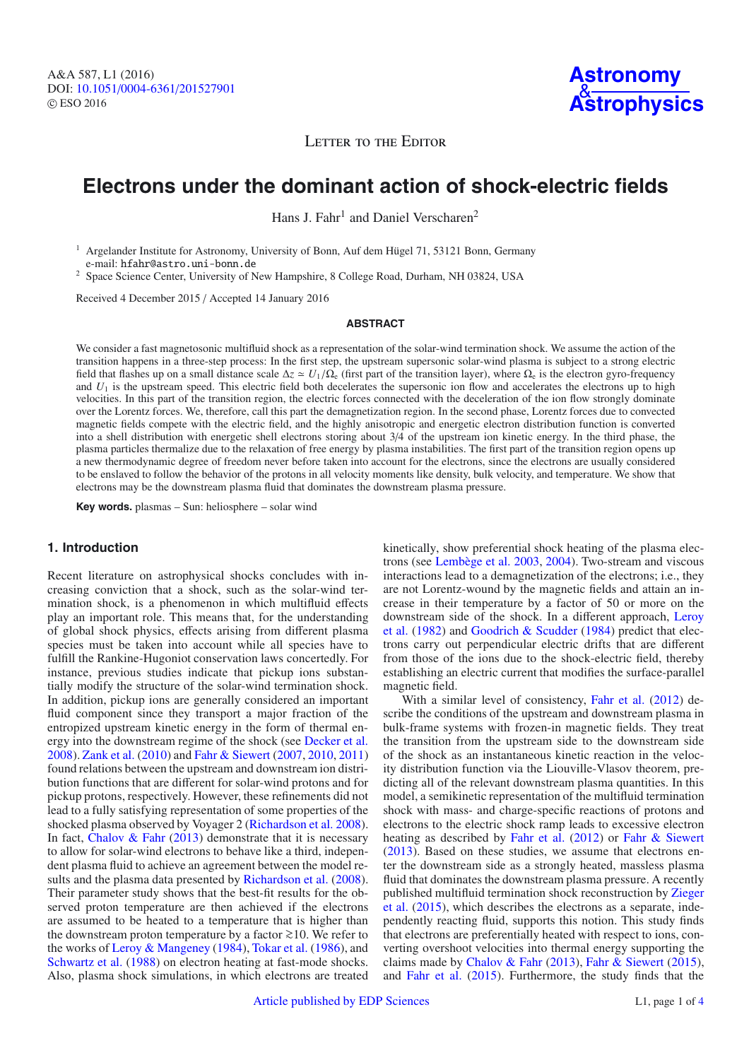A&A 587, L1 (2016) DOI: 10.1051/0004-6361/[201527901](http://dx.doi.org/10.1051/0004-6361/201527901) © ESO 2016

LETTER TO THE EDITOR

# **Electrons under the dominant action of shock-electric fields**

Hans J. Fahr<sup>1</sup> and Daniel Verscharen<sup>2</sup>

<sup>1</sup> Argelander Institute for Astronomy, University of Bonn, Auf dem Hügel 71, 53121 Bonn, Germany e-mail: hfahr@astro.uni-bonn.de

<sup>2</sup> Space Science Center, University of New Hampshire, 8 College Road, Durham, NH 03824, USA

Received 4 December 2015 / Accepted 14 January 2016

#### **ABSTRACT**

We consider a fast magnetosonic multifluid shock as a representation of the solar-wind termination shock. We assume the action of the transition happens in a three-step process: In the first step, the upstream supersonic solar-wind plasma is subject to a strong electric field that flashes up on a small distance scale  $\Delta z \simeq U_1/\Omega_e$  (first part of the transition layer), where  $\Omega_e$  is the electron gyro-frequency and  $U_1$  is the upstream speed. This electric field both decelerates the supersonic ion flow and accelerates the electrons up to high velocities. In this part of the transition region, the electric forces connected with the deceleration of the ion flow strongly dominate over the Lorentz forces. We, therefore, call this part the demagnetization region. In the second phase, Lorentz forces due to convected magnetic fields compete with the electric field, and the highly anisotropic and energetic electron distribution function is converted into a shell distribution with energetic shell electrons storing about 3/4 of the upstream ion kinetic energy. In the third phase, the plasma particles thermalize due to the relaxation of free energy by plasma instabilities. The first part of the transition region opens up a new thermodynamic degree of freedom never before taken into account for the electrons, since the electrons are usually considered to be enslaved to follow the behavior of the protons in all velocity moments like density, bulk velocity, and temperature. We show that electrons may be the downstream plasma fluid that dominates the downstream plasma pressure.

**Key words.** plasmas – Sun: heliosphere – solar wind

## **1. Introduction**

Recent literature on astrophysical shocks concludes with increasing conviction that a shock, such as the solar-wind termination shock, is a phenomenon in which multifluid effects play an important role. This means that, for the understanding of global shock physics, effects arising from different plasma species must be taken into account while all species have to fulfill the Rankine-Hugoniot conservation laws concertedly. For instance, previous studies indicate that pickup ions substantially modify the structure of the solar-wind termination shock. In addition, pickup ions are generally considered an important fluid component since they transport a major fraction of the entropized upstream kinetic energy in the form of thermal energy into the downstream regime of the shock (see [Decker et al.](#page-3-0) [2008\)](#page-3-0). [Zank et al.](#page-3-1) [\(2010\)](#page-3-1) and [Fahr & Siewert](#page-3-2) [\(2007](#page-3-2), [2010,](#page-3-3) [2011](#page-3-4)) found relations between the upstream and downstream ion distribution functions that are different for solar-wind protons and for pickup protons, respectively. However, these refinements did not lead to a fully satisfying representation of some properties of the shocked plasma observed by Voyager 2 [\(Richardson et al. 2008\)](#page-3-5). In fact, Chalov  $\&$  Fahr [\(2013](#page-3-6)) demonstrate that it is necessary to allow for solar-wind electrons to behave like a third, independent plasma fluid to achieve an agreement between the model results and the plasma data presented by [Richardson et al.](#page-3-5) [\(2008\)](#page-3-5). Their parameter study shows that the best-fit results for the observed proton temperature are then achieved if the electrons are assumed to be heated to a temperature that is higher than the downstream proton temperature by a factor <sup>&</sup>gt;∼10. We refer to the works of [Leroy & Mangeney](#page-3-7) [\(1984\)](#page-3-7), [Tokar et al.](#page-3-8) [\(1986](#page-3-8)), and [Schwartz et al.](#page-3-9) [\(1988\)](#page-3-9) on electron heating at fast-mode shocks. Also, plasma shock simulations, in which electrons are treated

kinetically, show preferential shock heating of the plasma electrons (see [Lembège et al. 2003,](#page-3-10) [2004\)](#page-3-11). Two-stream and viscous interactions lead to a demagnetization of the electrons; i.e., they are not Lorentz-wound by the magnetic fields and attain an increase in their temperature by a factor of 50 or more on the dow[nstream side of the shock. In a di](#page-3-12)fferent approach, Leroy et al. [\(1982\)](#page-3-12) and [Goodrich & Scudder](#page-3-13) [\(1984](#page-3-13)) predict that electrons carry out perpendicular electric drifts that are different from those of the ions due to the shock-electric field, thereby establishing an electric current that modifies the surface-parallel magnetic field.

With a similar level of consistency, [Fahr et al.](#page-3-14) [\(2012\)](#page-3-14) describe the conditions of the upstream and downstream plasma in bulk-frame systems with frozen-in magnetic fields. They treat the transition from the upstream side to the downstream side of the shock as an instantaneous kinetic reaction in the velocity distribution function via the Liouville-Vlasov theorem, predicting all of the relevant downstream plasma quantities. In this model, a semikinetic representation of the multifluid termination shock with mass- and charge-specific reactions of protons and electrons to the electric shock ramp leads to excessive electron heating as described by [Fahr et al.](#page-3-14) [\(2012](#page-3-14)) or [Fahr & Siewert](#page-3-15) [\(2013\)](#page-3-15). Based on these studies, we assume that electrons enter the downstream side as a strongly heated, massless plasma fluid that dominates the downstream plasma pressure. A recently publ[ished](#page-3-16) [multifluid](#page-3-16) [termination](#page-3-16) [shock](#page-3-16) [reconstruction](#page-3-16) [by](#page-3-16) Zieger et al. [\(2015](#page-3-16)), which describes the electrons as a separate, independently reacting fluid, supports this notion. This study finds that electrons are preferentially heated with respect to ions, converting overshoot velocities into thermal energy supporting the claims made by [Chalov & Fahr](#page-3-6) [\(2013](#page-3-6)), [Fahr & Siewert](#page-3-17) [\(2015\)](#page-3-17), and [Fahr et al.](#page-3-18) [\(2015\)](#page-3-18). Furthermore, the study finds that the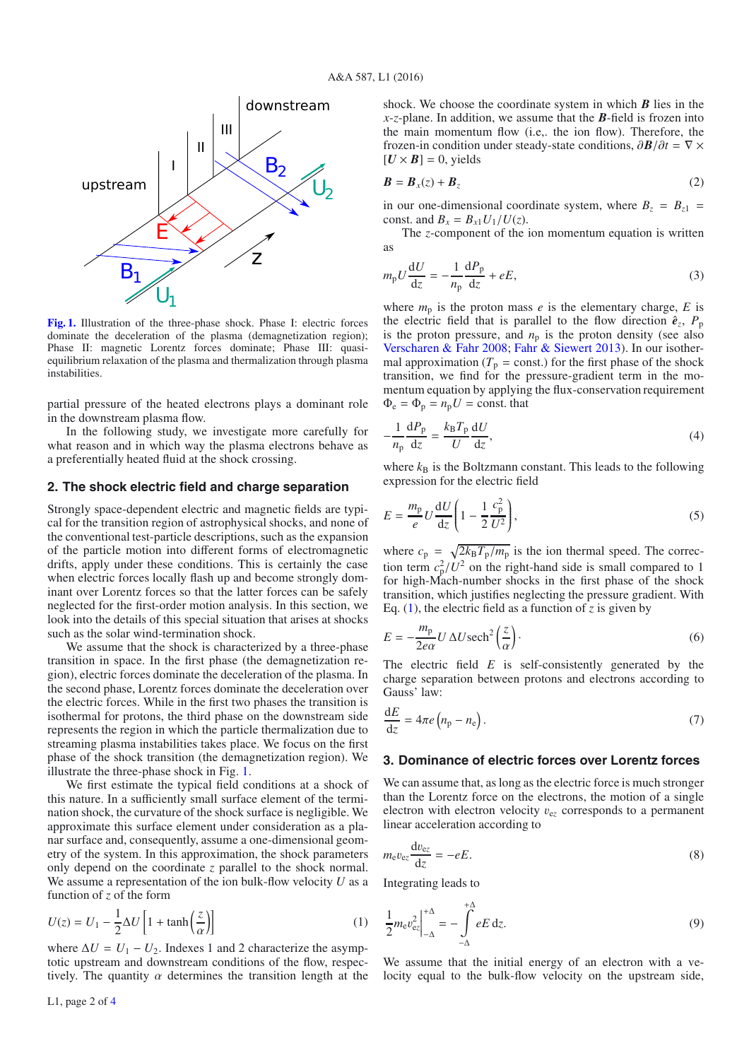<span id="page-1-0"></span>

**[Fig. 1.](http://dexter.edpsciences.org/applet.php?DOI=10.1051/0004-6361/201527901&pdf_id=1)** Illustration of the three-phase shock. Phase I: electric forces dominate the deceleration of the plasma (demagnetization region); Phase II: magnetic Lorentz forces dominate; Phase III: quasiequilibrium relaxation of the plasma and thermalization through plasma instabilities.

partial pressure of the heated electrons plays a dominant role in the downstream plasma flow.

In the following study, we investigate more carefully for what reason and in which way the plasma electrons behave as a preferentially heated fluid at the shock crossing.

# **2. The shock electric field and charge separation**

Strongly space-dependent electric and magnetic fields are typical for the transition region of astrophysical shocks, and none of the conventional test-particle descriptions, such as the expansion of the particle motion into different forms of electromagnetic drifts, apply under these conditions. This is certainly the case when electric forces locally flash up and become strongly dominant over Lorentz forces so that the latter forces can be safely neglected for the first-order motion analysis. In this section, we look into the details of this special situation that arises at shocks such as the solar wind-termination shock.

<span id="page-1-1"></span>We assume that the shock is characterized by a three-phase transition in space. In the first phase (the demagnetization region), electric forces dominate the deceleration of the plasma. In the second phase, Lorentz forces dominate the deceleration over the electric forces. While in the first two phases the transition is isothermal for protons, the third phase on the downstream side represents the region in which the particle thermalization due to streaming plasma instabilities takes place. We focus on the first phase of the shock transition (the demagnetization region). We illustrate the three-phase shock in Fig. [1.](#page-1-0)

We first estimate the typical field conditions at a shock of this nature. In a sufficiently small surface element of the termination shock, the curvature of the shock surface is negligible. We approximate this surface element under consideration as a planar surface and, consequently, assume a one-dimensional geometry of the system. In this approximation, the shock parameters only depend on the coordinate *z* parallel to the shock normal. We assume a representation of the ion bulk-flow velocity *U* as a function of *z* of the form

$$
U(z) = U_1 - \frac{1}{2}\Delta U \left[ 1 + \tanh\left(\frac{z}{\alpha}\right) \right]
$$
 (1)

where  $\Delta U = U_1 - U_2$ . Indexes 1 and 2 characterize the asymptotic upstream and downstream conditions of the flow, respectively. The quantity  $\alpha$  determines the transition length at the shock. We choose the coordinate system in which *B* lies in the *x*-*z*-plane. In addition, we assume that the *B*-field is frozen into the main momentum flow (i.e,. the ion flow). Therefore, the frozen-in condition under steady-state conditions, ∂*B*/∂*t* = ∇ ×  $[**U** \times **B**] = 0$ , yields

$$
\boldsymbol{B} = \boldsymbol{B}_x(z) + \boldsymbol{B}_z \tag{2}
$$

in our one-dimensional coordinate system, where  $B_z = B_{z1}$ const. and  $B_x = B_{x1}U_1/U(z)$ .

The *z*-component of the ion momentum equation is written as

$$
m_{\rm p}U\frac{\mathrm{d}U}{\mathrm{d}z} = -\frac{1}{n_{\rm p}}\frac{\mathrm{d}P_{\rm p}}{\mathrm{d}z} + eE,\tag{3}
$$

<span id="page-1-2"></span>where  $m_p$  is the proton mass *e* is the elementary charge, *E* is the electric field that is parallel to the flow direction  $\hat{\boldsymbol{e}}_z$ ,  $\boldsymbol{P}_p$ is the proton pressure, and  $n<sub>p</sub>$  is the proton density (see also [Verscharen & Fahr 2008](#page-3-20); [Fahr & Siewert 2013](#page-3-15)). In our isothermal approximation ( $T_p$  = const.) for the first phase of the shock transition, we find for the pressure-gradient term in the momentum equation by applying the flux-conservation requirement  $\Phi_e = \Phi_p = n_p U = \text{const.}$  that

$$
-\frac{1}{n_p}\frac{dP_p}{dz} = \frac{k_B T_p}{U}\frac{dU}{dz},\tag{4}
$$

where  $k_B$  is the Boltzmann constant. This leads to the following expression for the electric field

$$
E = \frac{m_{\rm p}}{e} U \frac{\mathrm{d}U}{\mathrm{d}z} \left( 1 - \frac{1}{2} \frac{c_{\rm p}^2}{U^2} \right),\tag{5}
$$

where  $c_p = \sqrt{2k_B T_p/m_p}$  is the ion thermal speed. The correction term  $c_p^2 / U^2$  on the right-hand side is small compared to 1 for high-Mach-number shocks in the first phase of the shock transition, which justifies neglecting the pressure gradient. With Eq.  $(1)$ , the electric field as a function of *z* is given by

$$
E = -\frac{m_{\rm p}}{2e\alpha}U\,\Delta U \text{sech}^2\left(\frac{z}{\alpha}\right). \tag{6}
$$

The electric field *E* is self-consistently generated by the charge separation between protons and electrons according to Gauss' law:

$$
\frac{\mathrm{d}E}{\mathrm{d}z} = 4\pi e \left( n_{\mathrm{p}} - n_{\mathrm{e}} \right). \tag{7}
$$

#### <span id="page-1-3"></span>**3. Dominance of electric forces over Lorentz forces**

We can assume that, as long as the electric force is much stronger than the Lorentz force on the electrons, the motion of a single electron with electron velocity ve*<sup>z</sup>* corresponds to a permanent linear acceleration according to

$$
m_{\rm e}v_{\rm ez}\frac{\mathrm{d}v_{\rm ez}}{\mathrm{d}z} = -eE.\tag{8}
$$

Integrating leads to

$$
\frac{1}{2}m_{\rm e}v_{\rm e}^2\Big|_{-\Delta}^{+\Delta} = -\int_{-\Delta}^{+\Delta} eE\,\mathrm{d}z.\tag{9}
$$

We assume that the initial energy of an electron with a velocity equal to the bulk-flow velocity on the upstream side,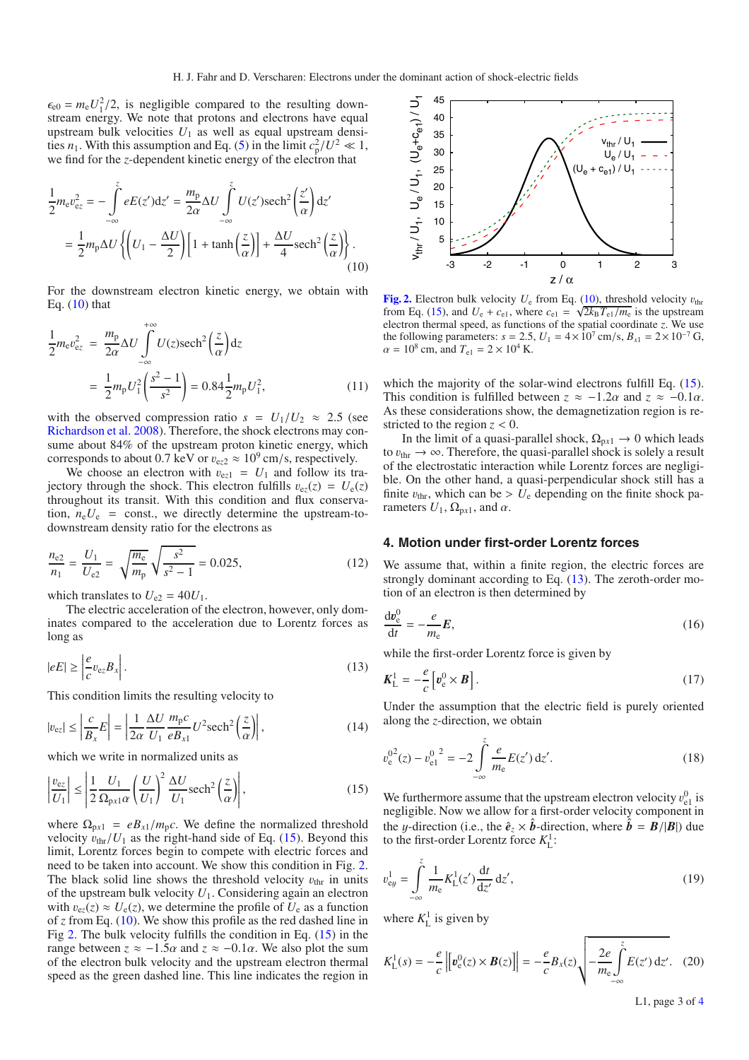$\epsilon_{\rm e0} = m_{\rm e} U_1^2 / 2$ , is negligible compared to the resulting downstream energy. We note that protons and electrons have equal upstream bulk velocities  $U_1$  as well as equal upstream densities  $n_1$ . With this assumption and Eq. [\(5\)](#page-1-2) in the limit  $c_p^2/U^2 \ll 1$ , we find for the *z*-dependent kinetic energy of the electron that

$$
\frac{1}{2}m_{\rm e}v_{\rm eg}^2 = -\int_{-\infty}^{\bar{z}} eE(z')dz' = \frac{m_{\rm p}}{2\alpha}\Delta U \int_{-\infty}^{\bar{z}} U(z')\mathrm{sech}^2\left(\frac{z'}{\alpha}\right)dz'
$$

$$
= \frac{1}{2}m_{\rm p}\Delta U \left\{ \left(U_1 - \frac{\Delta U}{2}\right) \left[1 + \tanh\left(\frac{z}{\alpha}\right)\right] + \frac{\Delta U}{4}\mathrm{sech}^2\left(\frac{z}{\alpha}\right) \right\}.
$$
(10)

For the downstream electron kinetic energy, we obtain with Eq.  $(10)$  that

$$
\frac{1}{2}m_{e}v_{ez}^{2} = \frac{m_{p}}{2\alpha} \Delta U \int_{-\infty}^{+\infty} U(z) \operatorname{sech}^{2} \left(\frac{z}{\alpha}\right) dz
$$
\n
$$
= \frac{1}{2}m_{p}U_{1}^{2} \left(\frac{s^{2}-1}{s^{2}}\right) = 0.84 \frac{1}{2}m_{p}U_{1}^{2},\tag{11}
$$

with the observed compression ratio  $s = U_1/U_2 \approx 2.5$  (see [Richardson et al. 2008](#page-3-5)). Therefore, the shock electrons may consume about 84% of the upstream proton kinetic energy, which corresponds to about 0.7 keV or  $v_{ez2} \approx 10^9$  cm/s, respectively.

<span id="page-2-3"></span>We choose an electron with  $v_{ez1} = U_1$  and follow its trajectory through the shock. This electron fulfills  $v_{ez}(z) = U_e(z)$ throughout its transit. With this condition and flux conservation,  $n_e U_e$  = const., we directly determine the upstream-todownstream density ratio for the electrons as

<span id="page-2-1"></span>
$$
\frac{n_{e2}}{n_1} = \frac{U_1}{U_{e2}} = \sqrt{\frac{m_e}{m_p}} \sqrt{\frac{s^2}{s^2 - 1}} = 0.025,
$$
\n(12)

which translates to  $U_{e2} = 40U_1$ .

The electric acceleration of the electron, however, only dominates compared to the acceleration due to Lorentz forces as long as

$$
|eE| \ge \left| \frac{e}{c} v_{\rm ez} B_x \right|.
$$
 (13)

This condition limits the resulting velocity to

$$
|v_{\rm ez}| \le \left| \frac{c}{B_x} E \right| = \left| \frac{1}{2\alpha} \frac{\Delta U}{U_1} \frac{m_{\rm p} c}{e B_{x1}} U^2 \text{sech}^2 \left( \frac{z}{\alpha} \right) \right|,\tag{14}
$$

which we write in normalized units as

$$
\left|\frac{v_{\text{e}z}}{U_1}\right| \le \left|\frac{1}{2}\frac{U_1}{\Omega_{\text{px1}}\alpha} \left(\frac{U}{U_1}\right)^2 \frac{\Delta U}{U_1} \text{sech}^2\left(\frac{z}{\alpha}\right)\right|,\tag{15}
$$

where  $\Omega_{px1} = eB_{x1}/m_p c$ . We define the normalized threshold velocity  $v_{\text{thr}}/U_1$  as the right-hand side of Eq. [\(15\)](#page-2-1). Beyond this limit, Lorentz forces begin to compete with electric forces and need to be taken into account. We show this condition in Fig. [2.](#page-2-2) The black solid line shows the threshold velocity  $v_{\text{thr}}$  in units of the upstream bulk velocity *U*1. Considering again an electron with  $v_{e\bar{z}}(z) \approx U_e(z)$ , we determine the profile of  $U_e$  as a function of *z* from Eq. [\(10\)](#page-2-0). We show this profile as the red dashed line in Fig [2.](#page-2-2) The bulk velocity fulfills the condition in Eq. [\(15\)](#page-2-1) in the range between  $z \approx -1.5\alpha$  and  $z \approx -0.1\alpha$ . We also plot the sum of the electron bulk velocity and the upstream electron thermal speed as the green dashed line. This line indicates the region in

<span id="page-2-2"></span><span id="page-2-0"></span>

**[Fig. 2.](http://dexter.edpsciences.org/applet.php?DOI=10.1051/0004-6361/201527901&pdf_id=2)** Electron bulk velocity  $U_e$  from Eq. [\(10\)](#page-2-0), threshold velocity  $v_{\text{thr}}$ from Eq. [\(15\)](#page-2-1), and  $U_e + c_{e1}$ , where  $c_{e1} = \sqrt{2k_B T_{e1}/m_e}$  is the upstream electron thermal speed, as functions of the spatial coordinate *z*. We use the following parameters:  $s = 2.5$ ,  $U_1 = 4 \times 10^7$  cm/s,  $B_{x1} = 2 \times 10^{-7}$  G,  $\alpha = 10^8$  cm, and  $T_{\text{e1}} = 2 \times 10^4$  K.

which the majority of the solar-wind electrons fulfill Eq. [\(15\)](#page-2-1). This condition is fulfilled between  $z \approx -1.2\alpha$  and  $z \approx -0.1\alpha$ . As these considerations show, the demagnetization region is restricted to the region  $z < 0$ .

In the limit of a quasi-parallel shock,  $\Omega_{px1} \rightarrow 0$  which leads to  $v_{\text{thr}} \rightarrow \infty$ . Therefore, the quasi-parallel shock is solely a result of the electrostatic interaction while Lorentz forces are negligible. On the other hand, a quasi-perpendicular shock still has a finite  $v_{\text{thr}}$ , which can be  $> U_e$  depending on the finite shock parameters  $U_1$ ,  $\Omega_{px1}$ , and  $\alpha$ .

## <span id="page-2-5"></span>**4. Motion under first-order Lorentz forces**

We assume that, within a finite region, the electric forces are strongly dominant according to Eq.  $(13)$ . The zeroth-order motion of an electron is then determined by

$$
\frac{\mathrm{d}v_{\mathrm{e}}^0}{\mathrm{d}t} = -\frac{e}{m_{\mathrm{e}}}E,\tag{16}
$$

<span id="page-2-4"></span>while the first-order Lorentz force is given by

$$
\mathbf{K}_{\mathcal{L}}^1 = -\frac{e}{c} \left[ \mathbf{v}_{\mathbf{e}}^0 \times \mathbf{B} \right]. \tag{17}
$$

Under the assumption that the electric field is purely oriented along the *z*-direction, we obtain

$$
v_{\rm e}^{0^2}(z) - v_{\rm e1}^{0^2} = -2 \int_{-\infty}^{z} \frac{e}{m_{\rm e}} E(z') \,\mathrm{d} z'.\tag{18}
$$

We furthermore assume that the upstream electron velocity  $v_{el}^0$  is negligible. Now we allow for a first-order velocity component in the y-direction (i.e., the  $\hat{e}_z \times \hat{b}$ -direction, where  $\hat{b} = B/|B|$ ) due to the first-order Lorentz force  $K^1_L$ :

$$
v_{ey}^{1} = \int_{-\infty}^{z} \frac{1}{m_e} K_{L}^{1}(z') \frac{dt}{dz'} dz',
$$
 (19)

where  $K<sub>L</sub><sup>1</sup>$  is given by

$$
K_{\rm L}^1(s) = -\frac{e}{c} \left| \left[ \mathbf{v}_{\rm e}^0(z) \times \mathbf{B}(z) \right] \right| = -\frac{e}{c} B_x(z) \sqrt{-\frac{2e}{m_{\rm e}} \int_{-\infty}^z E(z') \, \mathrm{d}z'}. \tag{20}
$$

L1, page 3 of [4](#page-3-19)